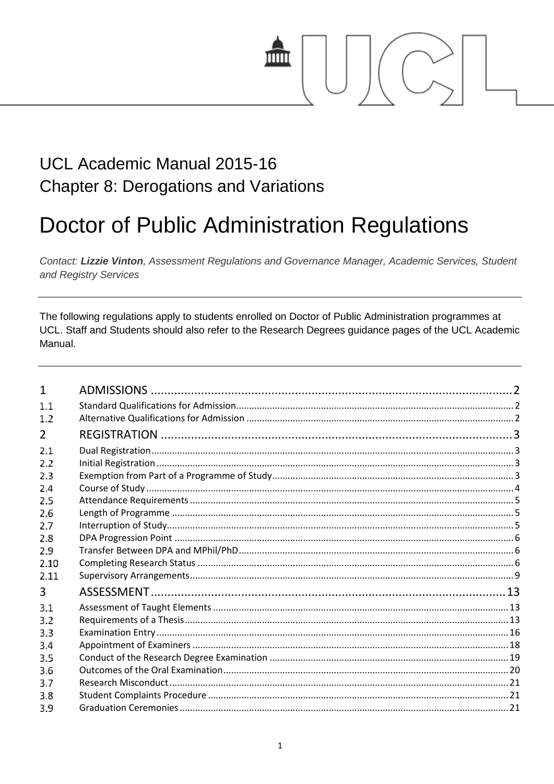# mm

# UCL Academic Manual 2015-16 **Chapter 8: Derogations and Variations**

# **Doctor of Public Administration Regulations**

Contact: Lizzie Vinton, Assessment Regulations and Governance Manager, Academic Services, Student and Registry Services

The following regulations apply to students enrolled on Doctor of Public Administration programmes at UCL. Staff and Students should also refer to the Research Degrees guidance pages of the UCL Academic Manual.

| $\mathbf{1}$ |  |
|--------------|--|
| 1.1          |  |
| 1.2          |  |
| 2            |  |
| 2.1          |  |
| 2.2          |  |
| 2.3          |  |
| 2.4          |  |
| 2.5          |  |
| 2.6          |  |
| 2.7          |  |
| 2.8          |  |
| 2.9          |  |
| 2.10         |  |
| 2.11         |  |
| 3            |  |
| 3.1          |  |
| 3.2          |  |
| 3.3          |  |
| 3.4          |  |
| 3.5          |  |
| 3.6          |  |
| 3.7          |  |
| 3.8          |  |
| 3.9          |  |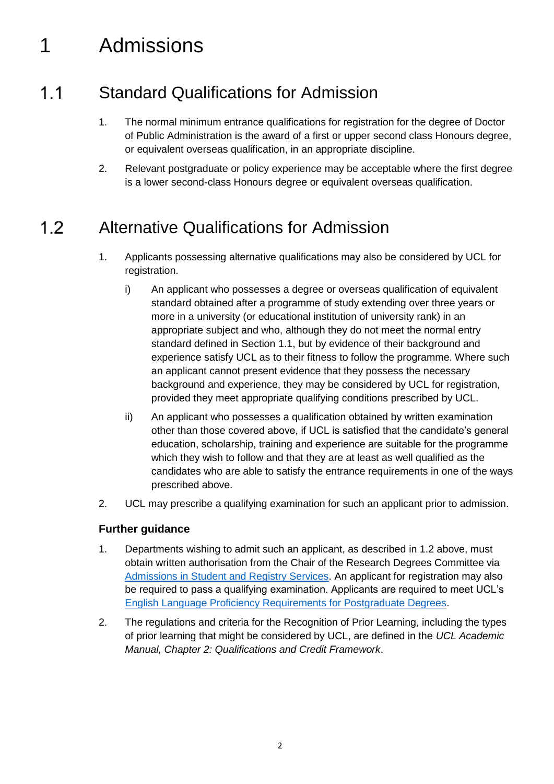# <span id="page-1-0"></span>1 Admissions

#### <span id="page-1-1"></span> $1.1$ Standard Qualifications for Admission

- 1. The normal minimum entrance qualifications for registration for the degree of Doctor of Public Administration is the award of a first or upper second class Honours degree, or equivalent overseas qualification, in an appropriate discipline.
- 2. Relevant postgraduate or policy experience may be acceptable where the first degree is a lower second-class Honours degree or equivalent overseas qualification.

#### <span id="page-1-2"></span> $1.2$ Alternative Qualifications for Admission

- 1. Applicants possessing alternative qualifications may also be considered by UCL for registration.
	- i) An applicant who possesses a degree or overseas qualification of equivalent standard obtained after a programme of study extending over three years or more in a university (or educational institution of university rank) in an appropriate subject and who, although they do not meet the normal entry standard defined in Section 1.1, but by evidence of their background and experience satisfy UCL as to their fitness to follow the programme. Where such an applicant cannot present evidence that they possess the necessary background and experience, they may be considered by UCL for registration, provided they meet appropriate qualifying conditions prescribed by UCL.
	- ii) An applicant who possesses a qualification obtained by written examination other than those covered above, if UCL is satisfied that the candidate's general education, scholarship, training and experience are suitable for the programme which they wish to follow and that they are at least as well qualified as the candidates who are able to satisfy the entrance requirements in one of the ways prescribed above.
- 2. UCL may prescribe a qualifying examination for such an applicant prior to admission.

- 1. Departments wishing to admit such an applicant, as described in 1.2 above, must obtain written authorisation from the Chair of the Research Degrees Committee via [Admissions in Student and Registry Services.](http://www.ucl.ac.uk/srs/our-services/access-and-admissions) An applicant for registration may also be required to pass a qualifying examination. Applicants are required to meet UCL's [English Language Proficiency Requirements for Postgraduate Degrees.](http://www.ucl.ac.uk/prospective-students/graduate/life/international)
- 2. The regulations and criteria for the Recognition of Prior Learning, including the types of prior learning that might be considered by UCL, are defined in the *UCL Academic Manual, Chapter 2: Qualifications and Credit Framework*.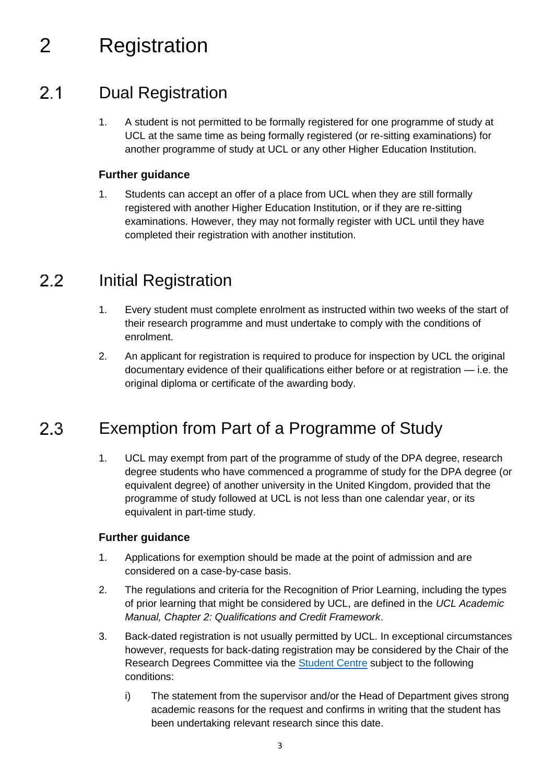# <span id="page-2-0"></span>2 Registration

#### <span id="page-2-1"></span> $2.1$ Dual Registration

1. A student is not permitted to be formally registered for one programme of study at UCL at the same time as being formally registered (or re-sitting examinations) for another programme of study at UCL or any other Higher Education Institution.

# **Further guidance**

1. Students can accept an offer of a place from UCL when they are still formally registered with another Higher Education Institution, or if they are re-sitting examinations. However, they may not formally register with UCL until they have completed their registration with another institution.

#### <span id="page-2-2"></span> $2.2$ Initial Registration

- 1. Every student must complete enrolment as instructed within two weeks of the start of their research programme and must undertake to comply with the conditions of enrolment.
- 2. An applicant for registration is required to produce for inspection by UCL the original documentary evidence of their qualifications either before or at registration — i.e. the original diploma or certificate of the awarding body.

#### <span id="page-2-3"></span>Exemption from Part of a Programme of Study  $2.3$

1. UCL may exempt from part of the programme of study of the DPA degree, research degree students who have commenced a programme of study for the DPA degree (or equivalent degree) of another university in the United Kingdom, provided that the programme of study followed at UCL is not less than one calendar year, or its equivalent in part-time study.

- 1. Applications for exemption should be made at the point of admission and are considered on a case-by-case basis.
- 2. The regulations and criteria for the Recognition of Prior Learning, including the types of prior learning that might be considered by UCL, are defined in the *UCL Academic Manual, Chapter 2: Qualifications and Credit Framework*.
- 3. Back-dated registration is not usually permitted by UCL. In exceptional circumstances however, requests for back-dating registration may be considered by the Chair of the Research Degrees Committee via the [Student Centre](http://www.ucl.ac.uk/current-students/student-centre) subject to the following conditions:
	- i) The statement from the supervisor and/or the Head of Department gives strong academic reasons for the request and confirms in writing that the student has been undertaking relevant research since this date.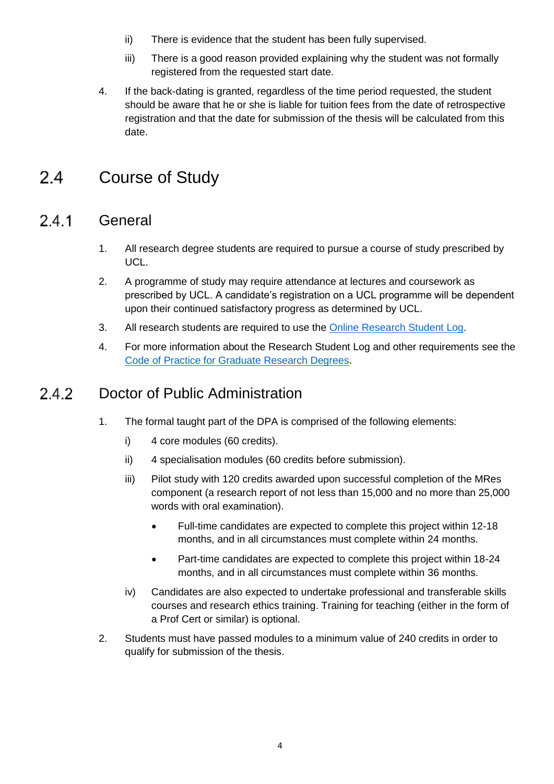- ii) There is evidence that the student has been fully supervised.
- iii) There is a good reason provided explaining why the student was not formally registered from the requested start date.
- 4. If the back-dating is granted, regardless of the time period requested, the student should be aware that he or she is liable for tuition fees from the date of retrospective registration and that the date for submission of the thesis will be calculated from this date.

#### <span id="page-3-0"></span> $2.4$ Course of Study

#### $2.4.1$ General

- 1. All research degree students are required to pursue a course of study prescribed by UCL.
- 2. A programme of study may require attendance at lectures and coursework as prescribed by UCL. A candidate's registration on a UCL programme will be dependent upon their continued satisfactory progress as determined by UCL.
- 3. All research students are required to use the [Online Research Student Log.](https://researchlog.grad.ucl.ac.uk/)
- 4. For more information about the Research Student Log and other requirements see the [Code of Practice for Graduate Research Degrees.](http://www.grad.ucl.ac.uk/essinfo/)

#### 2.4.2 Doctor of Public Administration

- 1. The formal taught part of the DPA is comprised of the following elements:
	- i) 4 core modules (60 credits).
	- ii) 4 specialisation modules (60 credits before submission).
	- iii) Pilot study with 120 credits awarded upon successful completion of the MRes component (a research report of not less than 15,000 and no more than 25,000 words with oral examination).
		- Full-time candidates are expected to complete this project within 12-18 months, and in all circumstances must complete within 24 months.
		- Part-time candidates are expected to complete this project within 18-24 months, and in all circumstances must complete within 36 months.
	- iv) Candidates are also expected to undertake professional and transferable skills courses and research ethics training. Training for teaching (either in the form of a Prof Cert or similar) is optional.
- 2. Students must have passed modules to a minimum value of 240 credits in order to qualify for submission of the thesis.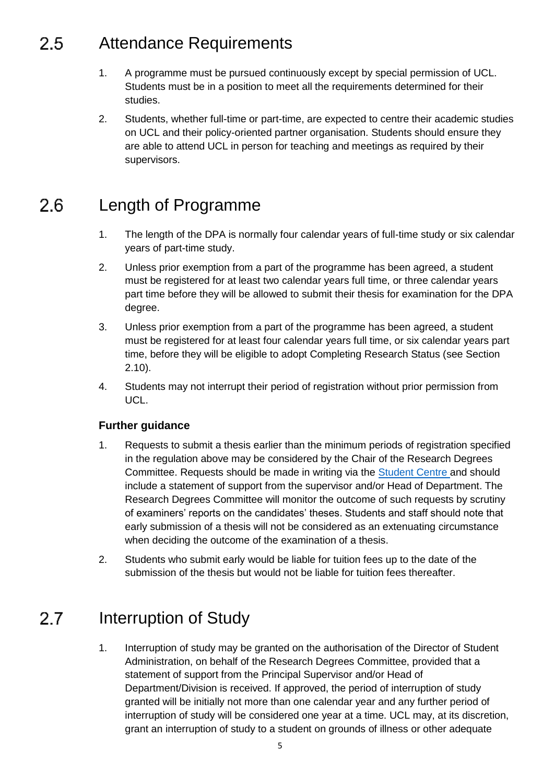#### <span id="page-4-0"></span>2.5 Attendance Requirements

- 1. A programme must be pursued continuously except by special permission of UCL. Students must be in a position to meet all the requirements determined for their studies.
- 2. Students, whether full-time or part-time, are expected to centre their academic studies on UCL and their policy-oriented partner organisation. Students should ensure they are able to attend UCL in person for teaching and meetings as required by their supervisors.

#### <span id="page-4-1"></span>Length of Programme  $2.6$

- 1. The length of the DPA is normally four calendar years of full-time study or six calendar years of part-time study.
- 2. Unless prior exemption from a part of the programme has been agreed, a student must be registered for at least two calendar years full time, or three calendar years part time before they will be allowed to submit their thesis for examination for the DPA degree.
- 3. Unless prior exemption from a part of the programme has been agreed, a student must be registered for at least four calendar years full time, or six calendar years part time, before they will be eligible to adopt Completing Research Status (see Section 2.10).
- 4. Students may not interrupt their period of registration without prior permission from UCL.

# **Further guidance**

- 1. Requests to submit a thesis earlier than the minimum periods of registration specified in the regulation above may be considered by the Chair of the Research Degrees Committee. Requests should be made in writing via the [Student Centre](http://www.ucl.ac.uk/current-students/student-centre) and should include a statement of support from the supervisor and/or Head of Department. The Research Degrees Committee will monitor the outcome of such requests by scrutiny of examiners' reports on the candidates' theses. Students and staff should note that early submission of a thesis will not be considered as an extenuating circumstance when deciding the outcome of the examination of a thesis.
- 2. Students who submit early would be liable for tuition fees up to the date of the submission of the thesis but would not be liable for tuition fees thereafter.

#### <span id="page-4-2"></span> $2.7$ Interruption of Study

1. Interruption of study may be granted on the authorisation of the Director of Student Administration, on behalf of the Research Degrees Committee, provided that a statement of support from the Principal Supervisor and/or Head of Department/Division is received. If approved, the period of interruption of study granted will be initially not more than one calendar year and any further period of interruption of study will be considered one year at a time. UCL may, at its discretion, grant an interruption of study to a student on grounds of illness or other adequate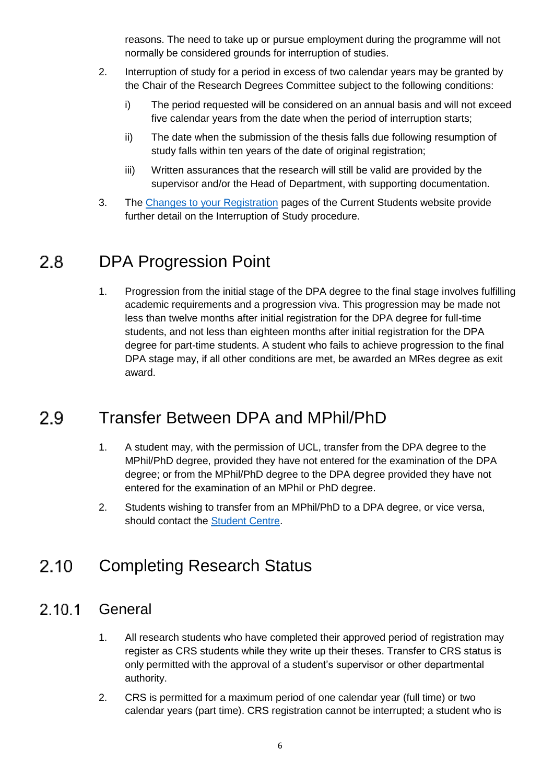reasons. The need to take up or pursue employment during the programme will not normally be considered grounds for interruption of studies.

- 2. Interruption of study for a period in excess of two calendar years may be granted by the Chair of the Research Degrees Committee subject to the following conditions:
	- i) The period requested will be considered on an annual basis and will not exceed five calendar years from the date when the period of interruption starts;
	- ii) The date when the submission of the thesis falls due following resumption of study falls within ten years of the date of original registration;
	- iii) Written assurances that the research will still be valid are provided by the supervisor and/or the Head of Department, with supporting documentation.
- 3. The [Changes to your Registration](http://www.ucl.ac.uk/current-students/services_2/registration_status) pages of the Current Students website provide further detail on the Interruption of Study procedure.

#### <span id="page-5-0"></span>DPA Progression Point  $2.8$

1. Progression from the initial stage of the DPA degree to the final stage involves fulfilling academic requirements and a progression viva. This progression may be made not less than twelve months after initial registration for the DPA degree for full-time students, and not less than eighteen months after initial registration for the DPA degree for part-time students. A student who fails to achieve progression to the final DPA stage may, if all other conditions are met, be awarded an MRes degree as exit award.

#### <span id="page-5-1"></span>Transfer Between DPA and MPhil/PhD  $2.9$

- 1. A student may, with the permission of UCL, transfer from the DPA degree to the MPhil/PhD degree, provided they have not entered for the examination of the DPA degree; or from the MPhil/PhD degree to the DPA degree provided they have not entered for the examination of an MPhil or PhD degree.
- 2. Students wishing to transfer from an MPhil/PhD to a DPA degree, or vice versa, should contact the [Student](http://www.ucl.ac.uk/current-students/student-centre) Centre.

#### <span id="page-5-2"></span> $2.10$ Completing Research Status

#### **General**  $2.10.1$

- 1. All research students who have completed their approved period of registration may register as CRS students while they write up their theses. Transfer to CRS status is only permitted with the approval of a student's supervisor or other departmental authority.
- 2. CRS is permitted for a maximum period of one calendar year (full time) or two calendar years (part time). CRS registration cannot be interrupted; a student who is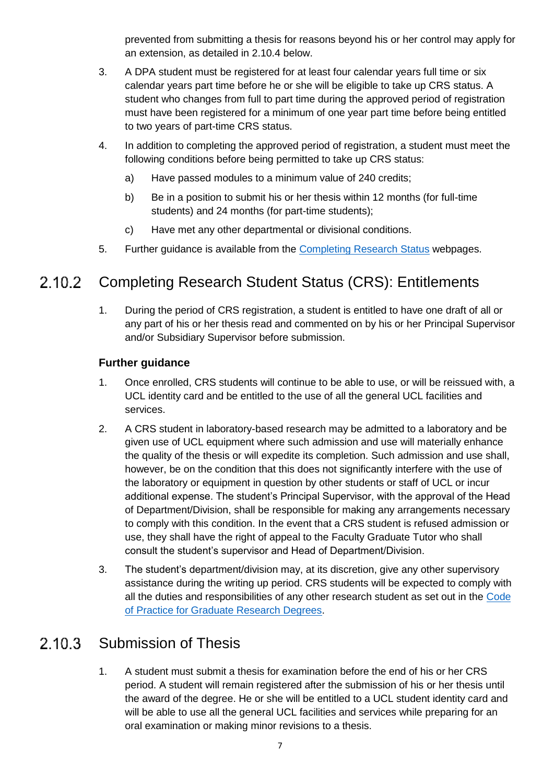prevented from submitting a thesis for reasons beyond his or her control may apply for an extension, as detailed in 2.10.4 below.

- 3. A DPA student must be registered for at least four calendar years full time or six calendar years part time before he or she will be eligible to take up CRS status. A student who changes from full to part time during the approved period of registration must have been registered for a minimum of one year part time before being entitled to two years of part-time CRS status.
- 4. In addition to completing the approved period of registration, a student must meet the following conditions before being permitted to take up CRS status:
	- a) Have passed modules to a minimum value of 240 credits;
	- b) Be in a position to submit his or her thesis within 12 months (for full-time students) and 24 months (for part-time students);
	- c) Have met any other departmental or divisional conditions.
- 5. Further guidance is available from the [Completing Research Status](http://www.ucl.ac.uk/current-students/services_2/registration_status) webpages.

#### 2.10.2 Completing Research Student Status (CRS): Entitlements

1. During the period of CRS registration, a student is entitled to have one draft of all or any part of his or her thesis read and commented on by his or her Principal Supervisor and/or Subsidiary Supervisor before submission.

# **Further guidance**

- 1. Once enrolled, CRS students will continue to be able to use, or will be reissued with, a UCL identity card and be entitled to the use of all the general UCL facilities and services.
- 2. A CRS student in laboratory-based research may be admitted to a laboratory and be given use of UCL equipment where such admission and use will materially enhance the quality of the thesis or will expedite its completion. Such admission and use shall, however, be on the condition that this does not significantly interfere with the use of the laboratory or equipment in question by other students or staff of UCL or incur additional expense. The student's Principal Supervisor, with the approval of the Head of Department/Division, shall be responsible for making any arrangements necessary to comply with this condition. In the event that a CRS student is refused admission or use, they shall have the right of appeal to the Faculty Graduate Tutor who shall consult the student's supervisor and Head of Department/Division.
- 3. The student's department/division may, at its discretion, give any other supervisory assistance during the writing up period. CRS students will be expected to comply with all the duties and responsibilities of any other research student as set out in the [Code](http://www.grad.ucl.ac.uk/essinfo/)  [of Practice for Graduate Research Degrees.](http://www.grad.ucl.ac.uk/essinfo/)

#### Submission of Thesis  $2.10.3$

1. A student must submit a thesis for examination before the end of his or her CRS period. A student will remain registered after the submission of his or her thesis until the award of the degree. He or she will be entitled to a UCL student identity card and will be able to use all the general UCL facilities and services while preparing for an oral examination or making minor revisions to a thesis.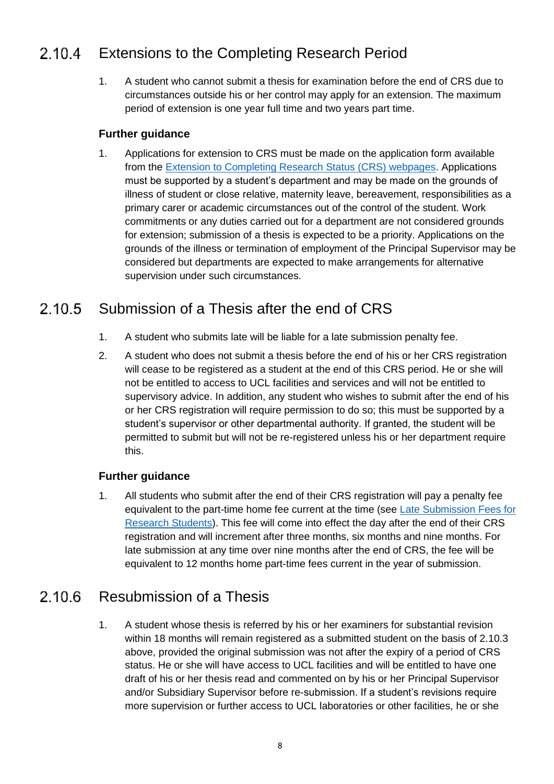#### Extensions to the Completing Research Period  $2.10.4$

1. A student who cannot submit a thesis for examination before the end of CRS due to circumstances outside his or her control may apply for an extension. The maximum period of extension is one year full time and two years part time.

## **Further guidance**

1. Applications for extension to CRS must be made on the application form available from the [Extension to Completing Research Status](http://www.ucl.ac.uk/current-students/services_2/registration_status) (CRS) webpages. Applications must be supported by a student's department and may be made on the grounds of illness of student or close relative, maternity leave, bereavement, responsibilities as a primary carer or academic circumstances out of the control of the student. Work commitments or any duties carried out for a department are not considered grounds for extension; submission of a thesis is expected to be a priority. Applications on the grounds of the illness or termination of employment of the Principal Supervisor may be considered but departments are expected to make arrangements for alternative supervision under such circumstances.

#### Submission of a Thesis after the end of CRS  $2,10,5$

- 1. A student who submits late will be liable for a late submission penalty fee.
- 2. A student who does not submit a thesis before the end of his or her CRS registration will cease to be registered as a student at the end of this CRS period. He or she will not be entitled to access to UCL facilities and services and will not be entitled to supervisory advice. In addition, any student who wishes to submit after the end of his or her CRS registration will require permission to do so; this must be supported by a student's supervisor or other departmental authority. If granted, the student will be permitted to submit but will not be re-registered unless his or her department require this.

# **Further guidance**

1. All students who submit after the end of their CRS registration will pay a penalty fee equivalent to the part-time home fee current at the time (see [Late Submission Fees for](http://www.ucl.ac.uk/current-students/research_degrees/latesubmission)  [Research Students\)](http://www.ucl.ac.uk/current-students/research_degrees/latesubmission). This fee will come into effect the day after the end of their CRS registration and will increment after three months, six months and nine months. For late submission at any time over nine months after the end of CRS, the fee will be equivalent to 12 months home part-time fees current in the year of submission.

#### Resubmission of a Thesis  $2.10.6$

1. A student whose thesis is referred by his or her examiners for substantial revision within 18 months will remain registered as a submitted student on the basis of 2.10.3 above, provided the original submission was not after the expiry of a period of CRS status. He or she will have access to UCL facilities and will be entitled to have one draft of his or her thesis read and commented on by his or her Principal Supervisor and/or Subsidiary Supervisor before re-submission. If a student's revisions require more supervision or further access to UCL laboratories or other facilities, he or she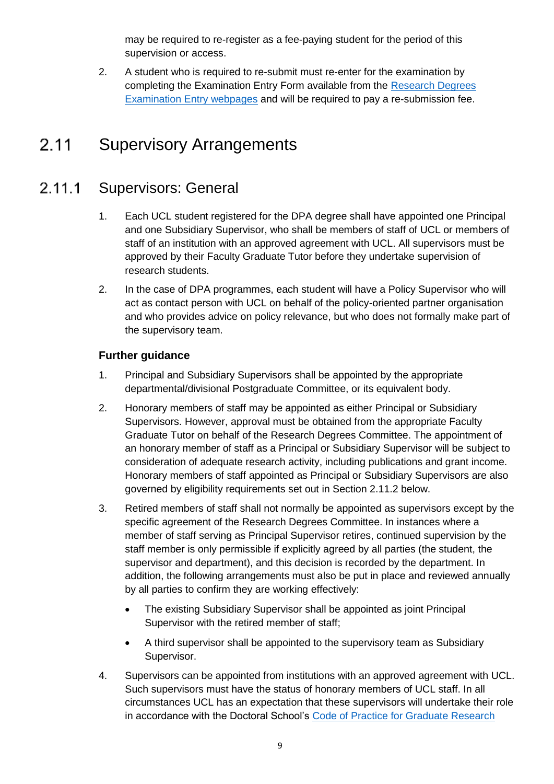may be required to re-register as a fee-paying student for the period of this supervision or access.

2. A student who is required to re-submit must re-enter for the examination by completing the Examination Entry Form available from the [Research Degrees](http://www.ucl.ac.uk/current-students/research_degrees/rd_exam_entry)  [Examination Entry webpages](http://www.ucl.ac.uk/current-students/research_degrees/rd_exam_entry) and will be required to pay a re-submission fee.

#### <span id="page-8-0"></span> $2.11$ Supervisory Arrangements

#### $2.11.1$ Supervisors: General

- 1. Each UCL student registered for the DPA degree shall have appointed one Principal and one Subsidiary Supervisor, who shall be members of staff of UCL or members of staff of an institution with an approved agreement with UCL. All supervisors must be approved by their Faculty Graduate Tutor before they undertake supervision of research students.
- 2. In the case of DPA programmes, each student will have a Policy Supervisor who will act as contact person with UCL on behalf of the policy-oriented partner organisation and who provides advice on policy relevance, but who does not formally make part of the supervisory team.

- 1. Principal and Subsidiary Supervisors shall be appointed by the appropriate departmental/divisional Postgraduate Committee, or its equivalent body.
- 2. Honorary members of staff may be appointed as either Principal or Subsidiary Supervisors. However, approval must be obtained from the appropriate Faculty Graduate Tutor on behalf of the Research Degrees Committee. The appointment of an honorary member of staff as a Principal or Subsidiary Supervisor will be subject to consideration of adequate research activity, including publications and grant income. Honorary members of staff appointed as Principal or Subsidiary Supervisors are also governed by eligibility requirements set out in Section 2.11.2 below.
- 3. Retired members of staff shall not normally be appointed as supervisors except by the specific agreement of the Research Degrees Committee. In instances where a member of staff serving as Principal Supervisor retires, continued supervision by the staff member is only permissible if explicitly agreed by all parties (the student, the supervisor and department), and this decision is recorded by the department. In addition, the following arrangements must also be put in place and reviewed annually by all parties to confirm they are working effectively:
	- The existing Subsidiary Supervisor shall be appointed as joint Principal Supervisor with the retired member of staff;
	- A third supervisor shall be appointed to the supervisory team as Subsidiary Supervisor.
- 4. Supervisors can be appointed from institutions with an approved agreement with UCL. Such supervisors must have the status of honorary members of UCL staff. In all circumstances UCL has an expectation that these supervisors will undertake their role in accordance with the Doctoral School's [Code of Practice for Graduate Research](http://www.grad.ucl.ac.uk/essinfo/)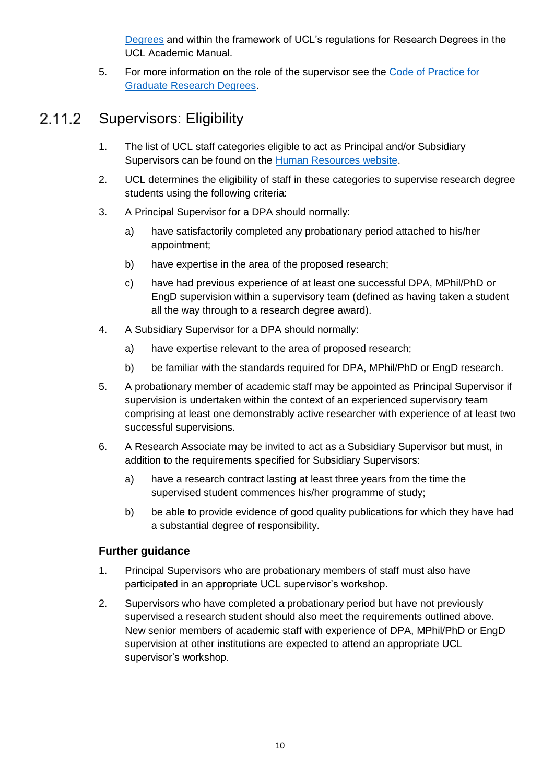[Degrees](http://www.grad.ucl.ac.uk/essinfo/) and within the framework of UCL's regulations for Research Degrees in the UCL Academic Manual.

5. For more information on the role of the supervisor see the [Code of Practice for](http://www.grad.ucl.ac.uk/essinfo/)  [Graduate Research Degrees.](http://www.grad.ucl.ac.uk/essinfo/)

#### Supervisors: Eligibility  $2.11.2$

- 1. The list of UCL staff categories eligible to act as Principal and/or Subsidiary Supervisors can be found on the [Human Resources website.](http://www.ucl.ac.uk/hr/docs/phd_student_supervision.php)
- 2. UCL determines the eligibility of staff in these categories to supervise research degree students using the following criteria:
- 3. A Principal Supervisor for a DPA should normally:
	- a) have satisfactorily completed any probationary period attached to his/her appointment;
	- b) have expertise in the area of the proposed research;
	- c) have had previous experience of at least one successful DPA, MPhil/PhD or EngD supervision within a supervisory team (defined as having taken a student all the way through to a research degree award).
- 4. A Subsidiary Supervisor for a DPA should normally:
	- a) have expertise relevant to the area of proposed research;
	- b) be familiar with the standards required for DPA, MPhil/PhD or EngD research.
- 5. A probationary member of academic staff may be appointed as Principal Supervisor if supervision is undertaken within the context of an experienced supervisory team comprising at least one demonstrably active researcher with experience of at least two successful supervisions.
- 6. A Research Associate may be invited to act as a Subsidiary Supervisor but must, in addition to the requirements specified for Subsidiary Supervisors:
	- a) have a research contract lasting at least three years from the time the supervised student commences his/her programme of study;
	- b) be able to provide evidence of good quality publications for which they have had a substantial degree of responsibility.

- 1. Principal Supervisors who are probationary members of staff must also have participated in an appropriate UCL supervisor's workshop.
- 2. Supervisors who have completed a probationary period but have not previously supervised a research student should also meet the requirements outlined above. New senior members of academic staff with experience of DPA, MPhil/PhD or EngD supervision at other institutions are expected to attend an appropriate UCL supervisor's workshop.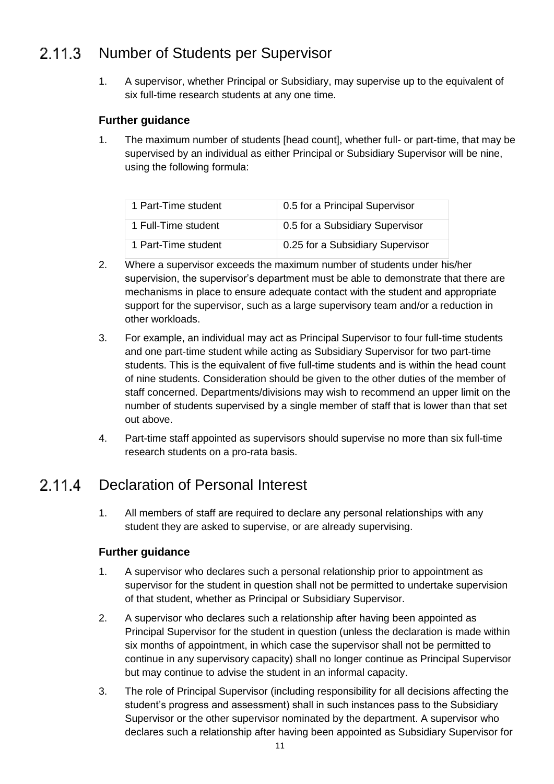#### $2.11.3$ Number of Students per Supervisor

1. A supervisor, whether Principal or Subsidiary, may supervise up to the equivalent of six full-time research students at any one time.

# **Further guidance**

1. The maximum number of students [head count], whether full- or part-time, that may be supervised by an individual as either Principal or Subsidiary Supervisor will be nine, using the following formula:

| 1 Part-Time student | 0.5 for a Principal Supervisor   |
|---------------------|----------------------------------|
| 1 Full-Time student | 0.5 for a Subsidiary Supervisor  |
| 1 Part-Time student | 0.25 for a Subsidiary Supervisor |

- 2. Where a supervisor exceeds the maximum number of students under his/her supervision, the supervisor's department must be able to demonstrate that there are mechanisms in place to ensure adequate contact with the student and appropriate support for the supervisor, such as a large supervisory team and/or a reduction in other workloads.
- 3. For example, an individual may act as Principal Supervisor to four full-time students and one part-time student while acting as Subsidiary Supervisor for two part-time students. This is the equivalent of five full-time students and is within the head count of nine students. Consideration should be given to the other duties of the member of staff concerned. Departments/divisions may wish to recommend an upper limit on the number of students supervised by a single member of staff that is lower than that set out above.
- 4. Part-time staff appointed as supervisors should supervise no more than six full-time research students on a pro-rata basis.

#### $2.11.4$ Declaration of Personal Interest

1. All members of staff are required to declare any personal relationships with any student they are asked to supervise, or are already supervising.

- 1. A supervisor who declares such a personal relationship prior to appointment as supervisor for the student in question shall not be permitted to undertake supervision of that student, whether as Principal or Subsidiary Supervisor.
- 2. A supervisor who declares such a relationship after having been appointed as Principal Supervisor for the student in question (unless the declaration is made within six months of appointment, in which case the supervisor shall not be permitted to continue in any supervisory capacity) shall no longer continue as Principal Supervisor but may continue to advise the student in an informal capacity.
- 3. The role of Principal Supervisor (including responsibility for all decisions affecting the student's progress and assessment) shall in such instances pass to the Subsidiary Supervisor or the other supervisor nominated by the department. A supervisor who declares such a relationship after having been appointed as Subsidiary Supervisor for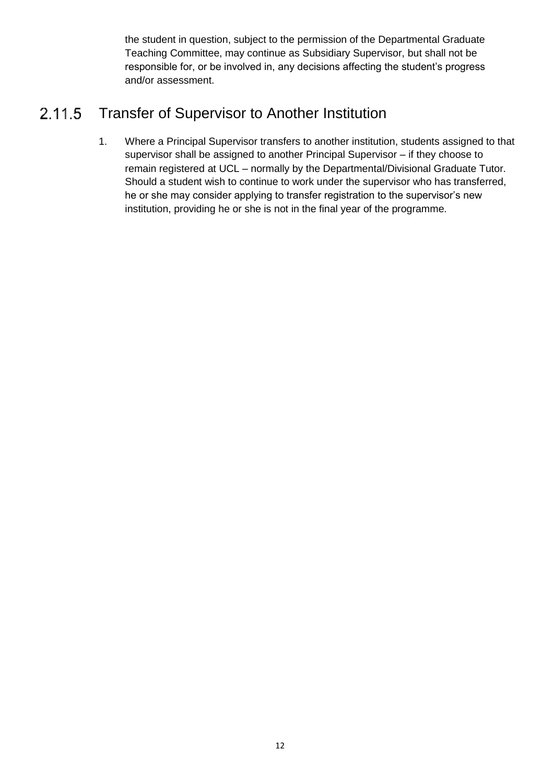the student in question, subject to the permission of the Departmental Graduate Teaching Committee, may continue as Subsidiary Supervisor, but shall not be responsible for, or be involved in, any decisions affecting the student's progress and/or assessment.

#### Transfer of Supervisor to Another Institution 2.11.5

1. Where a Principal Supervisor transfers to another institution, students assigned to that supervisor shall be assigned to another Principal Supervisor – if they choose to remain registered at UCL – normally by the Departmental/Divisional Graduate Tutor. Should a student wish to continue to work under the supervisor who has transferred, he or she may consider applying to transfer registration to the supervisor's new institution, providing he or she is not in the final year of the programme.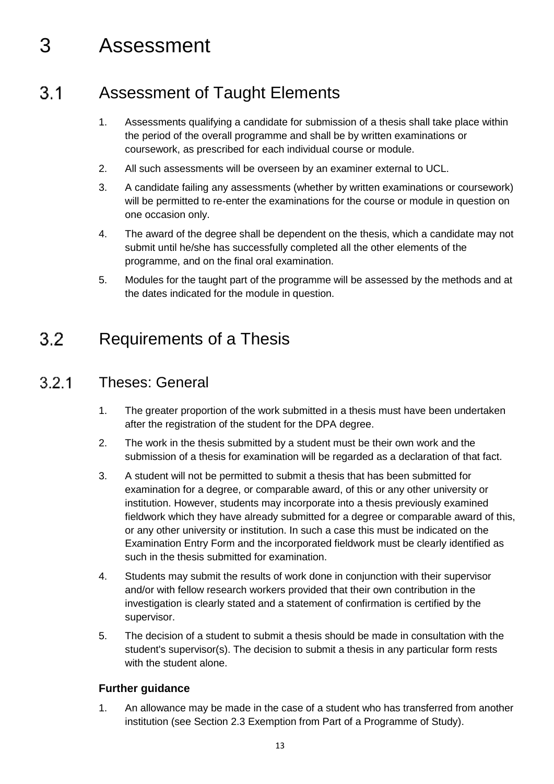# <span id="page-12-0"></span>3 Assessment

#### <span id="page-12-1"></span>Assessment of Taught Elements  $3.1$

- 1. Assessments qualifying a candidate for submission of a thesis shall take place within the period of the overall programme and shall be by written examinations or coursework, as prescribed for each individual course or module.
- 2. All such assessments will be overseen by an examiner external to UCL.
- 3. A candidate failing any assessments (whether by written examinations or coursework) will be permitted to re-enter the examinations for the course or module in question on one occasion only.
- 4. The award of the degree shall be dependent on the thesis, which a candidate may not submit until he/she has successfully completed all the other elements of the programme, and on the final oral examination.
- 5. Modules for the taught part of the programme will be assessed by the methods and at the dates indicated for the module in question.

#### <span id="page-12-2"></span> $3.2$ Requirements of a Thesis

#### $321$ Theses: General

- 1. The greater proportion of the work submitted in a thesis must have been undertaken after the registration of the student for the DPA degree.
- 2. The work in the thesis submitted by a student must be their own work and the submission of a thesis for examination will be regarded as a declaration of that fact.
- 3. A student will not be permitted to submit a thesis that has been submitted for examination for a degree, or comparable award, of this or any other university or institution. However, students may incorporate into a thesis previously examined fieldwork which they have already submitted for a degree or comparable award of this, or any other university or institution. In such a case this must be indicated on the Examination Entry Form and the incorporated fieldwork must be clearly identified as such in the thesis submitted for examination.
- 4. Students may submit the results of work done in conjunction with their supervisor and/or with fellow research workers provided that their own contribution in the investigation is clearly stated and a statement of confirmation is certified by the supervisor.
- 5. The decision of a student to submit a thesis should be made in consultation with the student's supervisor(s). The decision to submit a thesis in any particular form rests with the student alone.

# **Further guidance**

1. An allowance may be made in the case of a student who has transferred from another institution (see Section 2.3 Exemption from Part of a Programme of Study).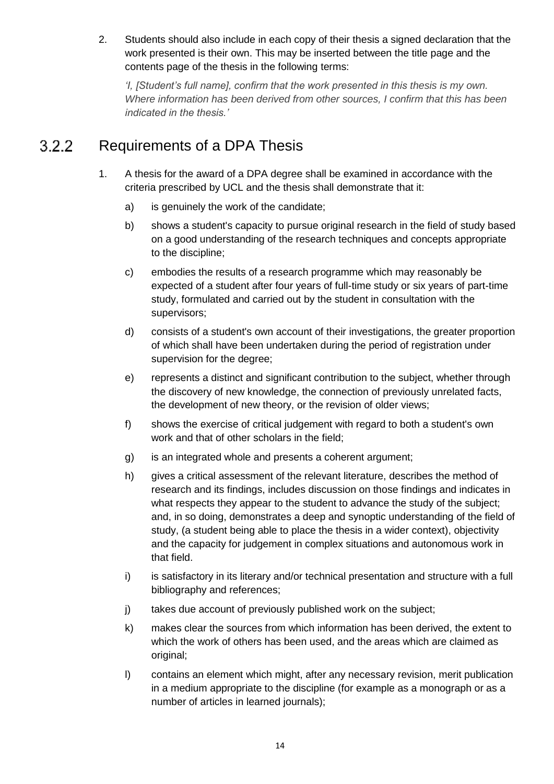2. Students should also include in each copy of their thesis a signed declaration that the work presented is their own. This may be inserted between the title page and the contents page of the thesis in the following terms:

*'I, [Student's full name], confirm that the work presented in this thesis is my own. Where information has been derived from other sources, I confirm that this has been indicated in the thesis.'*

#### Requirements of a DPA Thesis  $3.2.2$

- 1. A thesis for the award of a DPA degree shall be examined in accordance with the criteria prescribed by UCL and the thesis shall demonstrate that it:
	- a) is genuinely the work of the candidate;
	- b) shows a student's capacity to pursue original research in the field of study based on a good understanding of the research techniques and concepts appropriate to the discipline;
	- c) embodies the results of a research programme which may reasonably be expected of a student after four years of full-time study or six years of part-time study, formulated and carried out by the student in consultation with the supervisors;
	- d) consists of a student's own account of their investigations, the greater proportion of which shall have been undertaken during the period of registration under supervision for the degree;
	- e) represents a distinct and significant contribution to the subject, whether through the discovery of new knowledge, the connection of previously unrelated facts, the development of new theory, or the revision of older views;
	- f) shows the exercise of critical judgement with regard to both a student's own work and that of other scholars in the field;
	- g) is an integrated whole and presents a coherent argument;
	- h) gives a critical assessment of the relevant literature, describes the method of research and its findings, includes discussion on those findings and indicates in what respects they appear to the student to advance the study of the subject; and, in so doing, demonstrates a deep and synoptic understanding of the field of study, (a student being able to place the thesis in a wider context), objectivity and the capacity for judgement in complex situations and autonomous work in that field.
	- i) is satisfactory in its literary and/or technical presentation and structure with a full bibliography and references;
	- j) takes due account of previously published work on the subject;
	- k) makes clear the sources from which information has been derived, the extent to which the work of others has been used, and the areas which are claimed as original;
	- l) contains an element which might, after any necessary revision, merit publication in a medium appropriate to the discipline (for example as a monograph or as a number of articles in learned journals);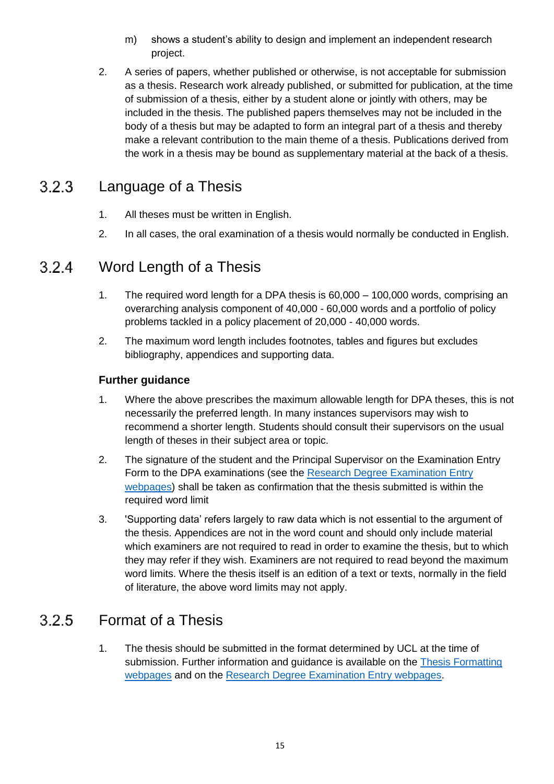- m) shows a student's ability to design and implement an independent research project.
- 2. A series of papers, whether published or otherwise, is not acceptable for submission as a thesis. Research work already published, or submitted for publication, at the time of submission of a thesis, either by a student alone or jointly with others, may be included in the thesis. The published papers themselves may not be included in the body of a thesis but may be adapted to form an integral part of a thesis and thereby make a relevant contribution to the main theme of a thesis. Publications derived from the work in a thesis may be bound as supplementary material at the back of a thesis.

#### Language of a Thesis  $3.2.3$

- 1. All theses must be written in English.
- 2. In all cases, the oral examination of a thesis would normally be conducted in English.

#### Word Length of a Thesis  $3.2.4$

- 1. The required word length for a DPA thesis is 60,000 100,000 words, comprising an overarching analysis component of 40,000 - 60,000 words and a portfolio of policy problems tackled in a policy placement of 20,000 - 40,000 words.
- 2. The maximum word length includes footnotes, tables and figures but excludes bibliography, appendices and supporting data.

# **Further guidance**

- 1. Where the above prescribes the maximum allowable length for DPA theses, this is not necessarily the preferred length. In many instances supervisors may wish to recommend a shorter length. Students should consult their supervisors on the usual length of theses in their subject area or topic.
- 2. The signature of the student and the Principal Supervisor on the Examination Entry Form to the DPA examinations (see the Research Degree Examination Entry [webpages\)](http://www.ucl.ac.uk/current-students/research_degrees/rd_exam_entry) shall be taken as confirmation that the thesis submitted is within the required word limit
- 3. 'Supporting data' refers largely to raw data which is not essential to the argument of the thesis. Appendices are not in the word count and should only include material which examiners are not required to read in order to examine the thesis, but to which they may refer if they wish. Examiners are not required to read beyond the maximum word limits. Where the thesis itself is an edition of a text or texts, normally in the field of literature, the above word limits may not apply.

#### $3.2.5$ Format of a Thesis

1. The thesis should be submitted in the format determined by UCL at the time of submission. Further information and guidance is available on the [Thesis Formatting](http://www.ucl.ac.uk/current-students/research_degrees/thesis_formatting)  [webpages](http://www.ucl.ac.uk/current-students/research_degrees/thesis_formatting) and on the [Research Degree Examination Entry webpages.](http://www.ucl.ac.uk/current-students/research_degrees/rd_exam_entry)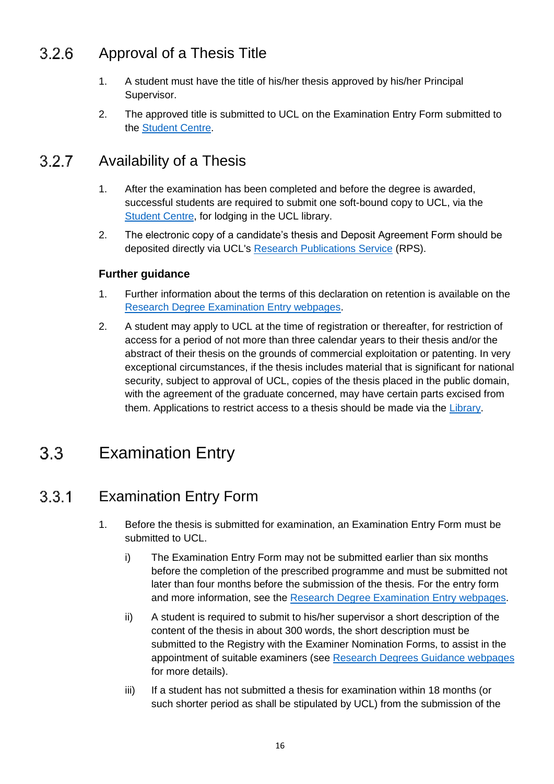#### Approval of a Thesis Title  $3.2.6$

- 1. A student must have the title of his/her thesis approved by his/her Principal Supervisor.
- 2. The approved title is submitted to UCL on the Examination Entry Form submitted to the [Student Centre.](http://www.ucl.ac.uk/current-students/student-centre)

#### Availability of a Thesis 3.2.7

- 1. After the examination has been completed and before the degree is awarded, successful students are required to submit one soft-bound copy to UCL, via the [Student Centre,](http://www.ucl.ac.uk/current-students/student-centre) for lodging in the UCL library.
- 2. The electronic copy of a candidate's thesis and Deposit Agreement Form should be deposited directly via UCL's [Research Publications Service](http://www.ucl.ac.uk/ion/library/publications/rps) (RPS).

# **Further guidance**

- 1. Further information about the terms of this declaration on retention is available on the [Research Degree Examination Entry webpages.](http://www.ucl.ac.uk/current-students/research_degrees/rd_exam_entry)
- 2. A student may apply to UCL at the time of registration or thereafter, for restriction of access for a period of not more than three calendar years to their thesis and/or the abstract of their thesis on the grounds of commercial exploitation or patenting. In very exceptional circumstances, if the thesis includes material that is significant for national security, subject to approval of UCL, copies of the thesis placed in the public domain, with the agreement of the graduate concerned, may have certain parts excised from them. Applications to restrict access to a thesis should be made via the [Library.](http://www.ucl.ac.uk/library)

#### <span id="page-15-0"></span> $3.3<sub>1</sub>$ Examination Entry

#### $3.3.1$ Examination Entry Form

- 1. Before the thesis is submitted for examination, an Examination Entry Form must be submitted to UCL.
	- i) The Examination Entry Form may not be submitted earlier than six months before the completion of the prescribed programme and must be submitted not later than four months before the submission of the thesis. For the entry form and more information, see the [Research Degree Examination Entry webpages.](http://www.ucl.ac.uk/current-students/research_degrees/rd_exam_entry)
	- ii) A student is required to submit to his/her supervisor a short description of the content of the thesis in about 300 words, the short description must be submitted to the Registry with the Examiner Nomination Forms, to assist in the appointment of suitable examiners (see [Research Degrees Guidance webpages](http://www.ucl.ac.uk/silva/srs/academic-regulations/res-deg/guidance) for more details).
	- iii) If a student has not submitted a thesis for examination within 18 months (or such shorter period as shall be stipulated by UCL) from the submission of the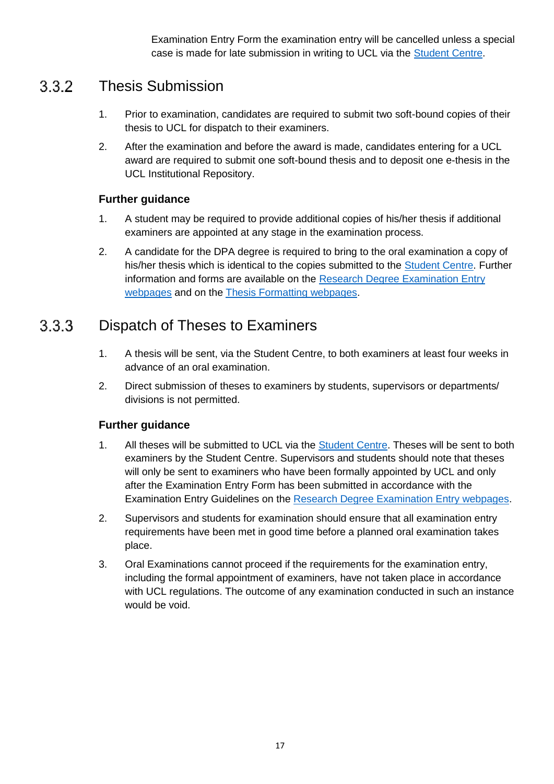Examination Entry Form the examination entry will be cancelled unless a special case is made for late submission in writing to UCL via the [Student Centre.](http://www.ucl.ac.uk/current-students/student-centre)

#### Thesis Submission  $3.3.2$

- 1. Prior to examination, candidates are required to submit two soft-bound copies of their thesis to UCL for dispatch to their examiners.
- 2. After the examination and before the award is made, candidates entering for a UCL award are required to submit one soft-bound thesis and to deposit one e-thesis in the UCL Institutional Repository.

# **Further guidance**

- 1. A student may be required to provide additional copies of his/her thesis if additional examiners are appointed at any stage in the examination process.
- 2. A candidate for the DPA degree is required to bring to the oral examination a copy of his/her thesis which is identical to the copies submitted to the [Student Centre.](http://www.ucl.ac.uk/current-students/student-centre) Further information and forms are available on the [Research Degree Examination Entry](http://www.ucl.ac.uk/current-students/research_degrees/rd_exam_entry)  [webpages](http://www.ucl.ac.uk/current-students/research_degrees/rd_exam_entry) and on the [Thesis Formatting webpages.](http://www.ucl.ac.uk/current-students/research_degrees/thesis_formatting)

#### Dispatch of Theses to Examiners  $3.3.3$

- 1. A thesis will be sent, via the Student Centre, to both examiners at least four weeks in advance of an oral examination.
- 2. Direct submission of theses to examiners by students, supervisors or departments/ divisions is not permitted.

- 1. All theses will be submitted to UCL via the [Student Centre.](http://www.ucl.ac.uk/current-students/student-centre) Theses will be sent to both examiners by the Student Centre. Supervisors and students should note that theses will only be sent to examiners who have been formally appointed by UCL and only after the Examination Entry Form has been submitted in accordance with the Examination Entry Guidelines on the [Research Degree Examination Entry webpages.](http://www.ucl.ac.uk/current-students/research_degrees/rd_exam_entry)
- 2. Supervisors and students for examination should ensure that all examination entry requirements have been met in good time before a planned oral examination takes place.
- 3. Oral Examinations cannot proceed if the requirements for the examination entry, including the formal appointment of examiners, have not taken place in accordance with UCL regulations. The outcome of any examination conducted in such an instance would be void.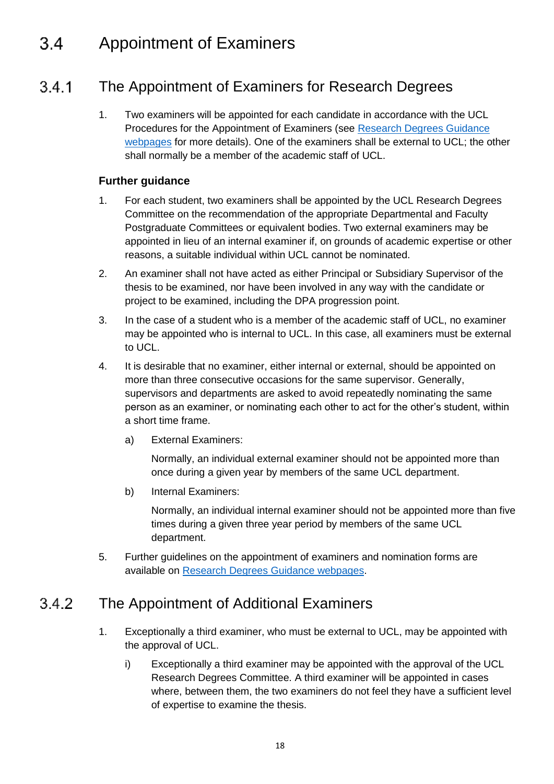#### <span id="page-17-0"></span> $3.4$ Appointment of Examiners

#### The Appointment of Examiners for Research Degrees  $3.4.1$

1. Two examiners will be appointed for each candidate in accordance with the UCL Procedures for the Appointment of Examiners (see [Research Degrees Guidance](http://www.ucl.ac.uk/silva/srs/academic-regulations/res-deg/guidance)  [webpages](http://www.ucl.ac.uk/silva/srs/academic-regulations/res-deg/guidance) for more details). One of the examiners shall be external to UCL; the other shall normally be a member of the academic staff of UCL.

## **Further guidance**

- 1. For each student, two examiners shall be appointed by the UCL Research Degrees Committee on the recommendation of the appropriate Departmental and Faculty Postgraduate Committees or equivalent bodies. Two external examiners may be appointed in lieu of an internal examiner if, on grounds of academic expertise or other reasons, a suitable individual within UCL cannot be nominated.
- 2. An examiner shall not have acted as either Principal or Subsidiary Supervisor of the thesis to be examined, nor have been involved in any way with the candidate or project to be examined, including the DPA progression point.
- 3. In the case of a student who is a member of the academic staff of UCL, no examiner may be appointed who is internal to UCL. In this case, all examiners must be external to UCL.
- 4. It is desirable that no examiner, either internal or external, should be appointed on more than three consecutive occasions for the same supervisor. Generally, supervisors and departments are asked to avoid repeatedly nominating the same person as an examiner, or nominating each other to act for the other's student, within a short time frame.
	- a) External Examiners:

Normally, an individual external examiner should not be appointed more than once during a given year by members of the same UCL department.

b) Internal Examiners:

Normally, an individual internal examiner should not be appointed more than five times during a given three year period by members of the same UCL department.

5. Further guidelines on the appointment of examiners and nomination forms are available on [Research Degrees Guidance webpages.](http://www.ucl.ac.uk/silva/srs/academic-regulations/res-deg/guidance)

#### 342 The Appointment of Additional Examiners

- 1. Exceptionally a third examiner, who must be external to UCL, may be appointed with the approval of UCL.
	- i) Exceptionally a third examiner may be appointed with the approval of the UCL Research Degrees Committee. A third examiner will be appointed in cases where, between them, the two examiners do not feel they have a sufficient level of expertise to examine the thesis.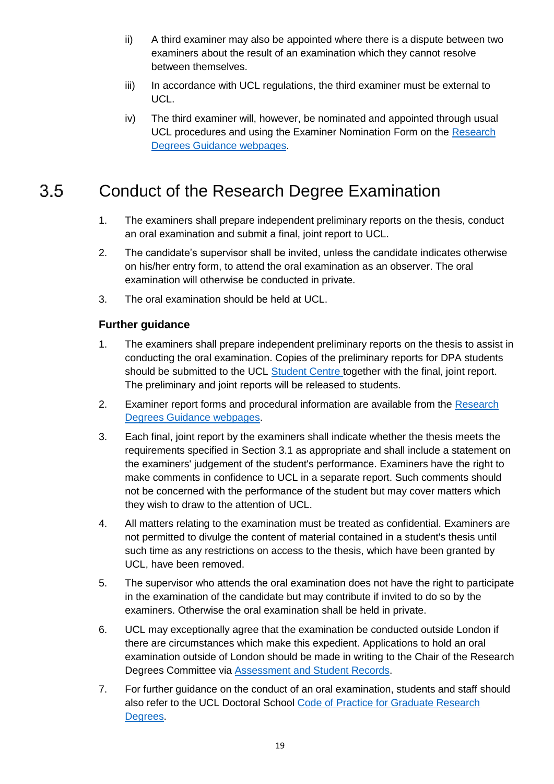- ii) A third examiner may also be appointed where there is a dispute between two examiners about the result of an examination which they cannot resolve between themselves.
- iii) In accordance with UCL regulations, the third examiner must be external to UCL.
- iv) The third examiner will, however, be nominated and appointed through usual UCL procedures and using the Examiner Nomination Form on the Research [Degrees Guidance webpages.](http://www.ucl.ac.uk/silva/srs/academic-regulations/res-deg/guidance)

#### <span id="page-18-0"></span> $3.5$ Conduct of the Research Degree Examination

- 1. The examiners shall prepare independent preliminary reports on the thesis, conduct an oral examination and submit a final, joint report to UCL.
- 2. The candidate's supervisor shall be invited, unless the candidate indicates otherwise on his/her entry form, to attend the oral examination as an observer. The oral examination will otherwise be conducted in private.
- 3. The oral examination should be held at UCL.

- 1. The examiners shall prepare independent preliminary reports on the thesis to assist in conducting the oral examination. Copies of the preliminary reports for DPA students should be submitted to the UCL [Student Centre](http://www.ucl.ac.uk/current-students/student-centre) together with the final, joint report. The preliminary and joint reports will be released to students.
- 2. Examiner report forms and procedural information are available from the [Research](http://www.ucl.ac.uk/silva/srs/academic-regulations/res-deg/guidance)  [Degrees Guidance webpages.](http://www.ucl.ac.uk/silva/srs/academic-regulations/res-deg/guidance)
- 3. Each final, joint report by the examiners shall indicate whether the thesis meets the requirements specified in Section 3.1 as appropriate and shall include a statement on the examiners' judgement of the student's performance. Examiners have the right to make comments in confidence to UCL in a separate report. Such comments should not be concerned with the performance of the student but may cover matters which they wish to draw to the attention of UCL.
- 4. All matters relating to the examination must be treated as confidential. Examiners are not permitted to divulge the content of material contained in a student's thesis until such time as any restrictions on access to the thesis, which have been granted by UCL, have been removed.
- 5. The supervisor who attends the oral examination does not have the right to participate in the examination of the candidate but may contribute if invited to do so by the examiners. Otherwise the oral examination shall be held in private.
- 6. UCL may exceptionally agree that the examination be conducted outside London if there are circumstances which make this expedient. Applications to hold an oral examination outside of London should be made in writing to the Chair of the Research Degrees Committee via [Assessment and Student Records.](http://www.ucl.ac.uk/srs/our-services/student-administration)
- 7. For further guidance on the conduct of an oral examination, students and staff should also refer to the UCL Doctoral School [Code of Practice for Graduate Research](http://www.grad.ucl.ac.uk/essinfo/)  [Degrees.](http://www.grad.ucl.ac.uk/essinfo/)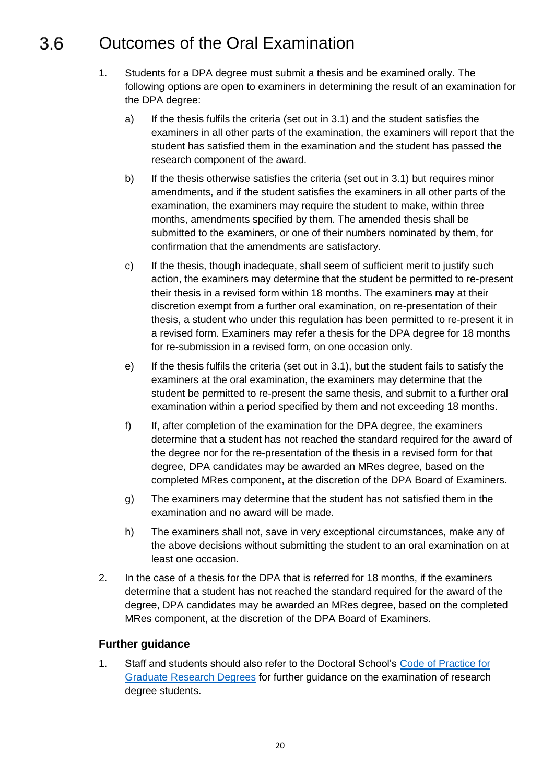#### <span id="page-19-0"></span>Outcomes of the Oral Examination 3.6

- 1. Students for a DPA degree must submit a thesis and be examined orally. The following options are open to examiners in determining the result of an examination for the DPA degree:
	- a) If the thesis fulfils the criteria (set out in 3.1) and the student satisfies the examiners in all other parts of the examination, the examiners will report that the student has satisfied them in the examination and the student has passed the research component of the award.
	- b) If the thesis otherwise satisfies the criteria (set out in 3.1) but requires minor amendments, and if the student satisfies the examiners in all other parts of the examination, the examiners may require the student to make, within three months, amendments specified by them. The amended thesis shall be submitted to the examiners, or one of their numbers nominated by them, for confirmation that the amendments are satisfactory.
	- c) If the thesis, though inadequate, shall seem of sufficient merit to justify such action, the examiners may determine that the student be permitted to re-present their thesis in a revised form within 18 months. The examiners may at their discretion exempt from a further oral examination, on re-presentation of their thesis, a student who under this regulation has been permitted to re-present it in a revised form. Examiners may refer a thesis for the DPA degree for 18 months for re-submission in a revised form, on one occasion only.
	- e) If the thesis fulfils the criteria (set out in 3.1), but the student fails to satisfy the examiners at the oral examination, the examiners may determine that the student be permitted to re-present the same thesis, and submit to a further oral examination within a period specified by them and not exceeding 18 months.
	- f) If, after completion of the examination for the DPA degree, the examiners determine that a student has not reached the standard required for the award of the degree nor for the re-presentation of the thesis in a revised form for that degree, DPA candidates may be awarded an MRes degree, based on the completed MRes component, at the discretion of the DPA Board of Examiners.
	- g) The examiners may determine that the student has not satisfied them in the examination and no award will be made.
	- h) The examiners shall not, save in very exceptional circumstances, make any of the above decisions without submitting the student to an oral examination on at least one occasion.
- 2. In the case of a thesis for the DPA that is referred for 18 months, if the examiners determine that a student has not reached the standard required for the award of the degree, DPA candidates may be awarded an MRes degree, based on the completed MRes component, at the discretion of the DPA Board of Examiners.

# **Further guidance**

1. Staff and students should also refer to the Doctoral School's [Code of Practice for](http://www.grad.ucl.ac.uk/essinfo/)  [Graduate Research Degrees](http://www.grad.ucl.ac.uk/essinfo/) for further guidance on the examination of research degree students.